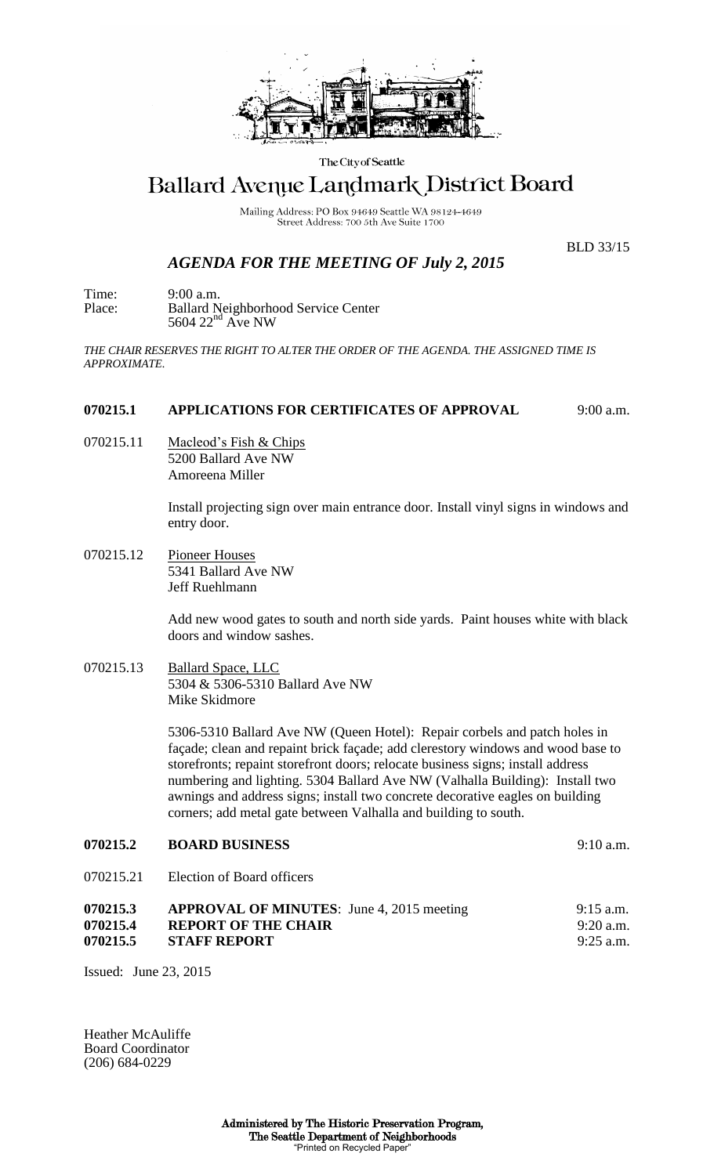

The City of Seattle

# Ballard Avenue Landmark District Board

Mailing Address: PO Box 94649 Seattle WA 98124-4649 Street Address: 700 5th Ave Suite 1700

## *AGENDA FOR THE MEETING OF July 2, 2015*

BLD 33/15

Time: 9:00 a.m. Place: Ballard Neighborhood Service Center  $5604$   $22<sup>nd</sup>$  Ave NW

*THE CHAIR RESERVES THE RIGHT TO ALTER THE ORDER OF THE AGENDA. THE ASSIGNED TIME IS APPROXIMATE.*

### **070215.1 APPLICATIONS FOR CERTIFICATES OF APPROVAL** 9:00 a.m.

070215.11 Macleod's Fish & Chips 5200 Ballard Ave NW Amoreena Miller

> Install projecting sign over main entrance door. Install vinyl signs in windows and entry door.

070215.12 Pioneer Houses 5341 Ballard Ave NW Jeff Ruehlmann

> Add new wood gates to south and north side yards. Paint houses white with black doors and window sashes.

070215.13 Ballard Space, LLC 5304 & 5306-5310 Ballard Ave NW Mike Skidmore

> 5306-5310 Ballard Ave NW (Queen Hotel): Repair corbels and patch holes in façade; clean and repaint brick façade; add clerestory windows and wood base to storefronts; repaint storefront doors; relocate business signs; install address numbering and lighting. 5304 Ballard Ave NW (Valhalla Building): Install two awnings and address signs; install two concrete decorative eagles on building corners; add metal gate between Valhalla and building to south.

#### **070215.2 BOARD BUSINESS** 9:10 a.m.

070215.21 Election of Board officers

| 070215.3 | <b>APPROVAL OF MINUTES:</b> June 4, 2015 meeting | $9:15$ a.m. |
|----------|--------------------------------------------------|-------------|
| 070215.4 | <b>REPORT OF THE CHAIR</b>                       | $9:20$ a.m. |
| 070215.5 | <b>STAFF REPORT</b>                              | $9:25$ a.m. |

Issued: June 23, 2015

Heather McAuliffe Board Coordinator (206) 684-0229